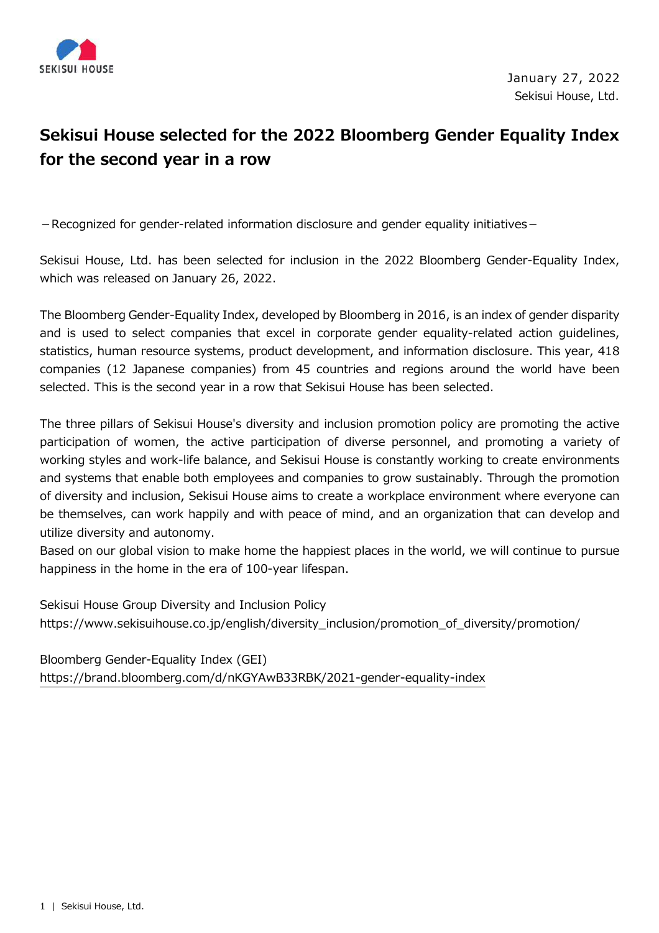

## **Sekisui House selected for the 2022 Bloomberg Gender Equality Index for the second year in a row**

- Recognized for gender-related information disclosure and gender equality initiatives -

Sekisui House, Ltd. has been selected for inclusion in the 2022 Bloomberg Gender-Equality Index, which was released on January 26, 2022.

The Bloomberg Gender-Equality Index, developed by Bloomberg in 2016, is an index of gender disparity and is used to select companies that excel in corporate gender equality-related action guidelines, statistics, human resource systems, product development, and information disclosure. This year, 418 companies (12 Japanese companies) from 45 countries and regions around the world have been selected. This is the second year in a row that Sekisui House has been selected.

The three pillars of Sekisui House's diversity and inclusion promotion policy are promoting the active participation of women, the active participation of diverse personnel, and promoting a variety of working styles and work-life balance, and Sekisui House is constantly working to create environments and systems that enable both employees and companies to grow sustainably. Through the promotion of diversity and inclusion, Sekisui House aims to create a workplace environment where everyone can be themselves, can work happily and with peace of mind, and an organization that can develop and utilize diversity and autonomy.

Based on our global vision to make home the happiest places in the world, we will continue to pursue happiness in the home in the era of 100-year lifespan.

Sekisui House Group Diversity and Inclusion Policy https://www.sekisuihouse.co.jp/english/diversity\_inclusion/promotion\_of\_diversity/promotion/

Bloomberg Gender-Equality Index (GEI) https://brand.bloomberg.com/d/nKGYAwB33RBK/2021-gender-equality-index